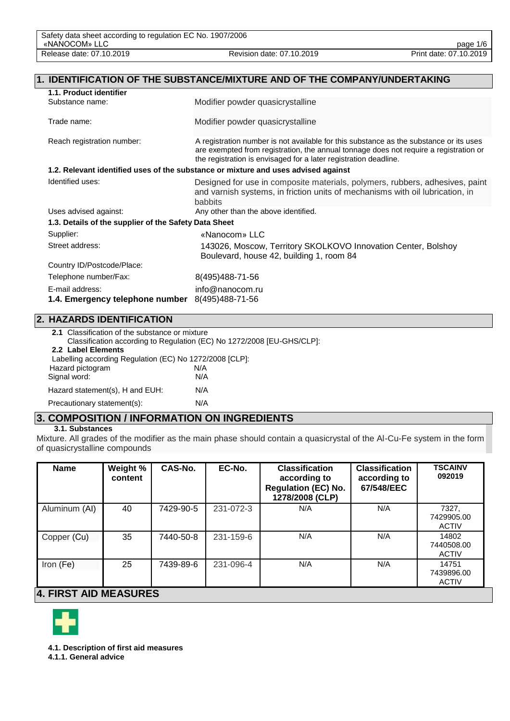| <b>IDENTIFICATION OF THE SUBSTANCE/MIXTURE AND OF THE COMPANY/UNDERTAKING</b><br>$\overline{\mathbf{1}}$ . |                                                                                                                                                                                                                                                     |  |
|------------------------------------------------------------------------------------------------------------|-----------------------------------------------------------------------------------------------------------------------------------------------------------------------------------------------------------------------------------------------------|--|
| 1.1. Product identifier                                                                                    |                                                                                                                                                                                                                                                     |  |
| Substance name:                                                                                            | Modifier powder quasicrystalline                                                                                                                                                                                                                    |  |
| Trade name:                                                                                                | Modifier powder quasicrystalline                                                                                                                                                                                                                    |  |
| Reach registration number:                                                                                 | A registration number is not available for this substance as the substance or its uses<br>are exempted from registration, the annual tonnage does not require a registration or<br>the registration is envisaged for a later registration deadline. |  |
|                                                                                                            | 1.2. Relevant identified uses of the substance or mixture and uses advised against                                                                                                                                                                  |  |
| Identified uses:                                                                                           | Designed for use in composite materials, polymers, rubbers, adhesives, paint<br>and varnish systems, in friction units of mechanisms with oil lubrication, in<br>babbits                                                                            |  |
| Uses advised against:                                                                                      | Any other than the above identified.                                                                                                                                                                                                                |  |
| 1.3. Details of the supplier of the Safety Data Sheet                                                      |                                                                                                                                                                                                                                                     |  |
| Supplier:                                                                                                  | «Nanocom» LLC                                                                                                                                                                                                                                       |  |
| Street address:                                                                                            | 143026, Moscow, Territory SKOLKOVO Innovation Center, Bolshoy<br>Boulevard, house 42, building 1, room 84                                                                                                                                           |  |
| Country ID/Postcode/Place:                                                                                 |                                                                                                                                                                                                                                                     |  |
| Telephone number/Fax:                                                                                      | 8(495)488-71-56                                                                                                                                                                                                                                     |  |
| E-mail address:                                                                                            | info@nanocom.ru                                                                                                                                                                                                                                     |  |
| 1.4. Emergency telephone number                                                                            | 8(495)488-71-56                                                                                                                                                                                                                                     |  |

# **2. HAZARDS IDENTIFICATION**

| 2.1 Classification of the substance or mixture          |                                                                        |
|---------------------------------------------------------|------------------------------------------------------------------------|
|                                                         | Classification according to Regulation (EC) No 1272/2008 [EU-GHS/CLP]: |
| 2.2 Label Elements                                      |                                                                        |
| Labelling according Regulation (EC) No 1272/2008 [CLP]: |                                                                        |
| Hazard pictogram                                        | N/A                                                                    |
| Signal word:                                            | N/A                                                                    |
| Hazard statement(s), H and EUH:                         | N/A                                                                    |
| Precautionary statement(s):                             | N/A                                                                    |

# **3. COMPOSITION / INFORMATION ON INGREDIENTS**

## **3.1. Substances**

Mixture. All grades of the modifier as the main phase should contain a quasicrystal of the Al-Cu-Fe system in the form of quasicrystalline compounds

| <b>Name</b>   | Weight %<br>content | CAS-No.   | EC-No.    | <b>Classification</b><br>according to<br><b>Regulation (EC) No.</b><br>1278/2008 (CLP) | <b>Classification</b><br>according to<br>67/548/EEC | <b>TSCAINV</b><br>092019            |
|---------------|---------------------|-----------|-----------|----------------------------------------------------------------------------------------|-----------------------------------------------------|-------------------------------------|
| Aluminum (AI) | 40                  | 7429-90-5 | 231-072-3 | N/A                                                                                    | N/A                                                 | 7327,<br>7429905.00<br><b>ACTIV</b> |
| Copper (Cu)   | 35                  | 7440-50-8 | 231-159-6 | N/A                                                                                    | N/A                                                 | 14802<br>7440508.00<br><b>ACTIV</b> |
| Iron (Fe)     | 25                  | 7439-89-6 | 231-096-4 | N/A                                                                                    | N/A                                                 | 14751<br>7439896.00<br><b>ACTIV</b> |

# **4. FIRST AID MEASURES**



**4.1. Description of first aid measures**

**4.1.1. General advice**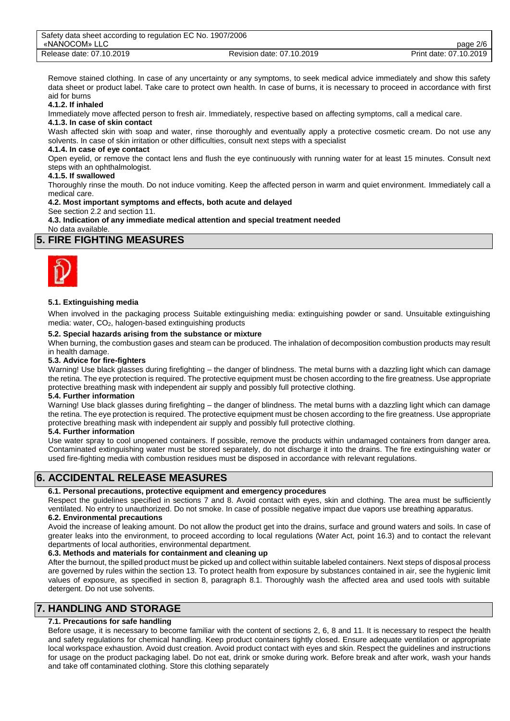| Safety data sheet according to regulation EC No. 1907/2006 |                           |                        |
|------------------------------------------------------------|---------------------------|------------------------|
| «NANOCOM» LLC                                              |                           | page 2/6               |
| Release date: 07.10.2019                                   | Revision date: 07.10.2019 | Print date: 07.10.2019 |

Remove stained clothing. In case of any uncertainty or any symptoms, to seek medical advice immediately and show this safety data sheet or product label. Take care to protect own health. In case of burns, it is necessary to proceed in accordance with first aid for burns

#### **4.1.2. If inhaled**

Immediately move affected person to fresh air. Immediately, respective based on affecting symptoms, call a medical care.

#### **4.1.3. In case of skin contact**

Wash affected skin with soap and water, rinse thoroughly and eventually apply a protective cosmetic cream. Do not use any solvents. In case of skin irritation or other difficulties, consult next steps with a specialist

## **4.1.4. In case of eye contact**

Open eyelid, or remove the contact lens and flush the eye continuously with running water for at least 15 minutes. Consult next steps with an ophthalmologist.

### **4.1.5. If swallowed**

Thoroughly rinse the mouth. Do not induce vomiting. Keep the affected person in warm and quiet environment. Immediately call a medical care.

**4.2. Most important symptoms and effects, both acute and delayed**

See section 2.2 and section 11.

**4.3. Indication of any immediate medical attention and special treatment needed**

No data available.

## **5. FIRE FIGHTING MEASURES**



### **5.1. Extinguishing media**

When involved in the packaging process Suitable extinguishing media: extinguishing powder or sand. Unsuitable extinguishing media: water, CO2, halogen-based extinguishing products

#### **5.2. Special hazards arising from the substance or mixture**

When burning, the combustion gases and steam can be produced. The inhalation of decomposition combustion products may result in health damage.

### **5.3. Advice for fire-fighters**

Warning! Use black glasses during firefighting – the danger of blindness. The metal burns with a dazzling light which can damage the retina. The eye protection is required. The protective equipment must be chosen according to the fire greatness. Use appropriate protective breathing mask with independent air supply and possibly full protective clothing.

#### **5.4. Further information**

Warning! Use black glasses during firefighting – the danger of blindness. The metal burns with a dazzling light which can damage the retina. The eye protection is required. The protective equipment must be chosen according to the fire greatness. Use appropriate protective breathing mask with independent air supply and possibly full protective clothing.

### **5.4. Further information**

Use water spray to cool unopened containers. If possible, remove the products within undamaged containers from danger area. Contaminated extinguishing water must be stored separately, do not discharge it into the drains. The fire extinguishing water or used fire-fighting media with combustion residues must be disposed in accordance with relevant regulations.

# **6. ACCIDENTAL RELEASE MEASURES**

### **6.1. Personal precautions, protective equipment and emergency procedures**

Respect the guidelines specified in sections 7 and 8. Avoid contact with eyes, skin and clothing. The area must be sufficiently ventilated. No entry to unauthorized. Do not smoke. In case of possible negative impact due vapors use breathing apparatus.

### **6.2. Environmental precautions**

Avoid the increase of leaking amount. Do not allow the product get into the drains, surface and ground waters and soils. In case of greater leaks into the environment, to proceed according to local regulations (Water Act, point 16.3) and to contact the relevant departments of local authorities, environmental department.

### **6.3. Methods and materials for containment and cleaning up**

After the burnout, the spilled product must be picked up and collect within suitable labeled containers. Next steps of disposal process are governed by rules within the section 13. To protect health from exposure by substances contained in air, see the hygienic limit values of exposure, as specified in section 8, paragraph 8.1. Thoroughly wash the affected area and used tools with suitable detergent. Do not use solvents.

# **7. HANDLING AND STORAGE**

## **7.1. Precautions for safe handling**

Before usage, it is necessary to become familiar with the content of sections 2, 6, 8 and 11. It is necessary to respect the health and safety regulations for chemical handling. Keep product containers tightly closed. Ensure adequate ventilation or appropriate local workspace exhaustion. Avoid dust creation. Avoid product contact with eyes and skin. Respect the guidelines and instructions for usage on the product packaging label. Do not eat, drink or smoke during work. Before break and after work, wash your hands and take off contaminated clothing. Store this clothing separately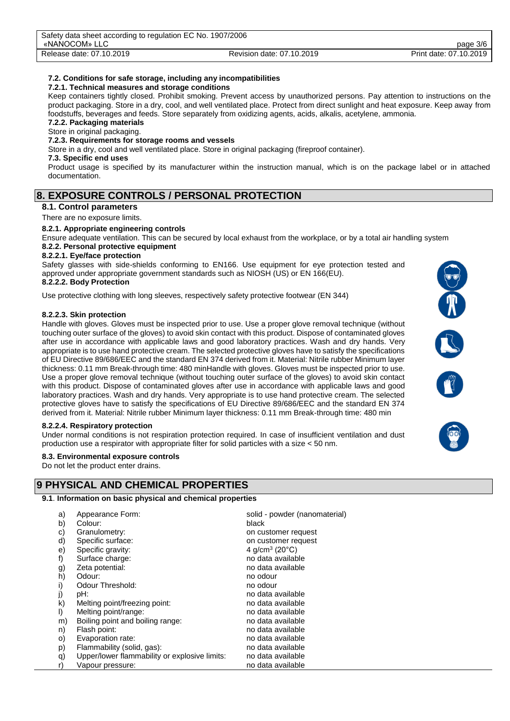### **7.2. Conditions for safe storage, including any incompatibilities**

### **7.2.1. Technical measures and storage conditions**

Keep containers tightly closed. Prohibit smoking. Prevent access by unauthorized persons. Pay attention to instructions on the product packaging. Store in a dry, cool, and well ventilated place. Protect from direct sunlight and heat exposure. Keep away from foodstuffs, beverages and feeds. Store separately from oxidizing agents, acids, alkalis, acetylene, ammonia.

#### **7.2.2. Packaging materials** Store in original packaging.

## **7.2.3. Requirements for storage rooms and vessels**

Store in a dry, cool and well ventilated place. Store in original packaging (fireproof container).

#### **7.3. Specific end uses**

Product usage is specified by its manufacturer within the instruction manual, which is on the package label or in attached documentation.

## **8. EXPOSURE CONTROLS / PERSONAL PROTECTION**

#### **8.1. Control parameters**

There are no exposure limits.

#### **8.2.1. Appropriate engineering controls**

Ensure adequate ventilation. This can be secured by local exhaust from the workplace, or by a total air handling system **8.2.2. Personal protective equipment**

### **8.2.2.1. Eye/face protection**

Safety glasses with side-shields conforming to EN166. Use equipment for eye protection tested and approved under appropriate government standards such as NIOSH (US) or EN 166(EU).

#### **8.2.2.2. Body Protection**

Use protective clothing with long sleeves, respectively safety protective footwear (EN 344)

#### **8.2.2.3. Skin protection**

Handle with gloves. Gloves must be inspected prior to use. Use a proper glove removal technique (without touching outer surface of the gloves) to avoid skin contact with this product. Dispose of contaminated gloves after use in accordance with applicable laws and good laboratory practices. Wash and dry hands. Very appropriate is to use hand protective cream. The selected protective gloves have to satisfy the specifications of EU Directive 89/686/EEC and the standard EN 374 derived from it. Material: Nitrile rubber Minimum layer thickness: 0.11 mm Break-through time: 480 minHandle with gloves. Gloves must be inspected prior to use. Use a proper glove removal technique (without touching outer surface of the gloves) to avoid skin contact with this product. Dispose of contaminated gloves after use in accordance with applicable laws and good laboratory practices. Wash and dry hands. Very appropriate is to use hand protective cream. The selected protective gloves have to satisfy the specifications of EU Directive 89/686/EEC and the standard EN 374 derived from it. Material: Nitrile rubber Minimum layer thickness: 0.11 mm Break-through time: 480 min

### **8.2.2.4. Respiratory protection**

Under normal conditions is not respiration protection required. In case of insufficient ventilation and dust production use a respirator with appropriate filter for solid particles with a size < 50 nm.

### **8.3. Environmental exposure controls**

Do not let the product enter drains.

# **9 PHYSICAL AND CHEMICAL PROPERTIES**

#### **9.1**. **Information on basic physical and chemical properties**

| a) | Appearance Form:                              | solid - powder (nanomaterial)<br>black |
|----|-----------------------------------------------|----------------------------------------|
| b) | Colour:                                       |                                        |
| C) | Granulometry:                                 | on customer request                    |
| d) | Specific surface:                             | on customer request                    |
| e) | Specific gravity:                             | 4 g/cm <sup>3</sup> (20 $^{\circ}$ C)  |
| f) | Surface charge:                               | no data available                      |
| g) | Zeta potential:                               | no data available                      |
| h) | Odour:                                        | no odour                               |
| i) | Odour Threshold:                              | no odour                               |
| j) | pH:                                           | no data available                      |
| k) | Melting point/freezing point:                 | no data available                      |
| I) | Melting point/range:                          | no data available                      |
| m) | Boiling point and boiling range:              | no data available                      |
| n) | Flash point:                                  | no data available                      |
| O) | Evaporation rate:                             | no data available                      |
| p) | Flammability (solid, gas):                    | no data available                      |
| q) | Upper/lower flammability or explosive limits: | no data available                      |
| r) | Vapour pressure:                              | no data available                      |

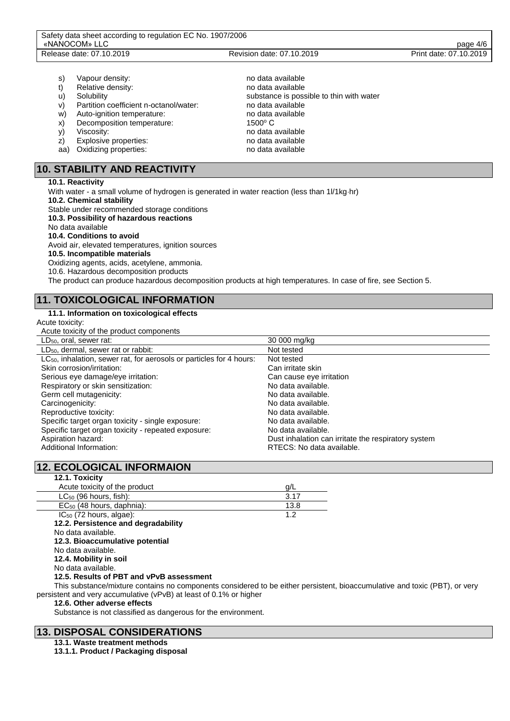- s) Vapour density:  $\blacksquare$
- t) Relative density: no data available
- 
- v) Partition coefficient n-octanol/water: no data available
- w) Auto-ignition temperature: no data available
- x) Decomposition temperature: 1500° C
- 
- 
- aa) Oxidizing properties: no data available

# **10. STABILITY AND REACTIVITY**

#### **10.1. Reactivity**

With water - a small volume of hydrogen is generated in water reaction (less than 1l/1kg·hr) **10.2. Chemical stability** Stable under recommended storage conditions **10.3. Possibility of hazardous reactions** No data available **10.4. Conditions to avoid** Avoid air, elevated temperatures, ignition sources **10.5. Incompatible materials** Oxidizing agents, acids, acetylene, ammonia. 10.6. Hazardous decomposition products The product can produce hazardous decomposition products at high temperatures. In case of fire, see Section 5.

# **11. TOXICOLOGICAL INFORMATION**

## **11.1. Information on toxicological effects**

Acute toxicity: Acute toxicity of the product components

| wate tomony or the product components                                            |                                                     |
|----------------------------------------------------------------------------------|-----------------------------------------------------|
| $LD_{50}$ , oral, sewer rat:                                                     | 30 000 mg/kg                                        |
| LD <sub>50</sub> , dermal, sewer rat or rabbit:                                  | Not tested                                          |
| LC <sub>50</sub> , inhalation, sewer rat, for aerosols or particles for 4 hours: | Not tested                                          |
| Skin corrosion/irritation:                                                       | Can irritate skin                                   |
| Serious eye damage/eye irritation:                                               | Can cause eye irritation                            |
| Respiratory or skin sensitization:                                               | No data available.                                  |
| Germ cell mutagenicity:                                                          | No data available.                                  |
| Carcinogenicity:                                                                 | No data available.                                  |
| Reproductive toxicity:                                                           | No data available.                                  |
| Specific target organ toxicity - single exposure:                                | No data available.                                  |
| Specific target organ toxicity - repeated exposure:                              | No data available.                                  |
| Aspiration hazard:                                                               | Dust inhalation can irritate the respiratory system |
| Additional Information:                                                          | RTECS: No data available.                           |
|                                                                                  |                                                     |

# **12. ECOLOGICAL INFORMAION**

| <u>IZ. EUULUUIUAL INFURIVIAIUN</u>  |      |
|-------------------------------------|------|
| 12.1. Toxicity                      |      |
| Acute toxicity of the product       | a/L  |
| $LC_{50}$ (96 hours, fish):         | 3.17 |
| $EC_{50}$ (48 hours, daphnia):      | 13.8 |
| $IC_{50}$ (72 hours, algae):        | 1.2  |
| 12.2. Persistence and degradability |      |
| No data available.                  |      |
| 12.3. Bioaccumulative potential     |      |
| No data available.                  |      |
| 12.4. Mobility in soil              |      |
| No data available.                  |      |
|                                     |      |

### **12.5. Results of PBT and vPvB assessment**

This substance/mixture contains no components considered to be either persistent, bioaccumulative and toxic (PBT), or very persistent and very accumulative (vPvB) at least of 0.1% or higher

#### **12.6. Other adverse effects**

Substance is not classified as dangerous for the environment.

# **13. DISPOSAL CONSIDERATIONS**

## **13.1. Waste treatment methods**

**13.1.1. Product / Packaging disposal**

u) Solubility substance is possible to thin with water y) Viscosity: no data available z) Explosive properties: no data available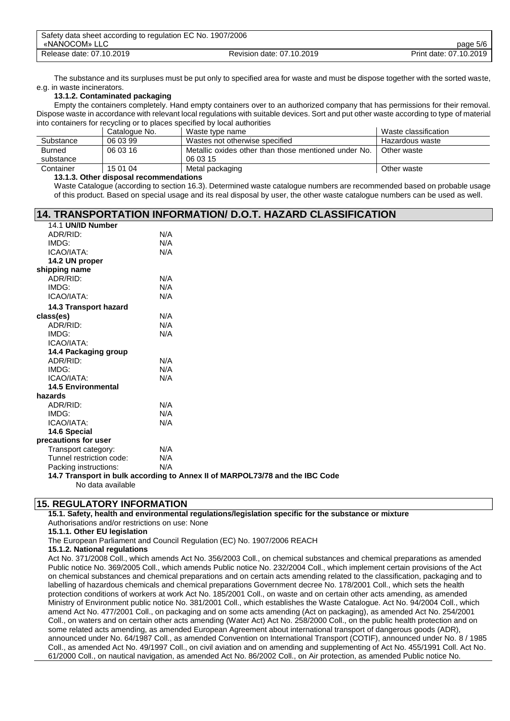| Safety data sheet according to regulation EC No. 1907/2006 |                           |                        |
|------------------------------------------------------------|---------------------------|------------------------|
| «NANOCOM» LLC                                              |                           | page 5/6               |
| Release date: 07.10.2019                                   | Revision date: 07.10.2019 | Print date: 07.10.2019 |

The substance and its surpluses must be put only to specified area for waste and must be dispose together with the sorted waste, e.g. in waste incinerators.

### **13.1.2. Contaminated packaging**

Empty the containers completely. Hand empty containers over to an authorized company that has permissions for their removal. Dispose waste in accordance with relevant local regulations with suitable devices. Sort and put other waste according to type of material into containers for recycling or to places specified by local authorities

|               | Catalogue No. | Waste type name                                      | Waste classification |
|---------------|---------------|------------------------------------------------------|----------------------|
| Substance     | 06 03 99      | Wastes not otherwise specified                       | Hazardous waste      |
| <b>Burned</b> | 06 03 16      | Metallic oxides other than those mentioned under No. | Other waste          |
| substance     |               | 06 03 15                                             |                      |
| Container     | 15 01 04      | Metal packaging                                      | Other waste          |

#### **13.1.3. Other disposal recommendations**

Waste Catalogue (according to section 16.3). Determined waste catalogue numbers are recommended based on probable usage of this product. Based on special usage and its real disposal by user, the other waste catalogue numbers can be used as well.

#### **14. TRANSPORTATION INFORMATION/ D.O.T. HAZARD CLASSIFICATION** 14.1 **UN/ID Number**

| 14.1 UNIV NUIIDEI                              |                                                                              |
|------------------------------------------------|------------------------------------------------------------------------------|
| ADR/RID:                                       | N/A                                                                          |
| IMDG:                                          | N/A                                                                          |
| ICAO/IATA:                                     | N/A                                                                          |
| 14.2 UN proper                                 |                                                                              |
| shipping name                                  |                                                                              |
| ADR/RID:                                       | N/A                                                                          |
| IMDG:                                          | N/A                                                                          |
| ICAO/IATA:                                     | N/A                                                                          |
| 14.3 Transport hazard                          |                                                                              |
| class(es)                                      | N/A                                                                          |
| ADR/RID:                                       | N/A                                                                          |
| IMDG:                                          | N/A                                                                          |
| ICAO/IATA:                                     |                                                                              |
| 14.4 Packaging group                           |                                                                              |
| ADR/RID:                                       | N/A                                                                          |
| IMDG:                                          | N/A                                                                          |
| ICAO/IATA:                                     | N/A                                                                          |
| <b>14.5 Environmental</b>                      |                                                                              |
| hazards                                        |                                                                              |
| ADR/RID:                                       | N/A                                                                          |
| IMDG:                                          | N/A                                                                          |
| ICAO/IATA:                                     | N/A                                                                          |
| 14.6 Special                                   |                                                                              |
| precautions for user                           |                                                                              |
| Transport category:                            | N/A                                                                          |
| Tunnel restriction code:                       | N/A                                                                          |
| Packing instructions:                          | N/A                                                                          |
|                                                | 14.7 Transport in bulk according to Annex II of MARPOL73/78 and the IBC Code |
| $\mathbf{M}$ and $\mathbf{M}$ and $\mathbf{M}$ |                                                                              |

No data available

## **15. REGULATORY INFORMATION**

**15.1. Safety, health and environmental regulations/legislation specific for the substance or mixture** Authorisations and/or restrictions on use: None

**15.1.1. Other EU legislation**

The European Parliament and Council Regulation (EC) No. 1907/2006 REACH

#### **15.1.2. National regulations**

Act No. 371/2008 Coll., which amends Act No. 356/2003 Coll., on chemical substances and chemical preparations as amended Public notice No. 369/2005 Coll., which amends Public notice No. 232/2004 Coll., which implement certain provisions of the Act on chemical substances and chemical preparations and on certain acts amending related to the classification, packaging and to labelling of hazardous chemicals and chemical preparations Government decree No. 178/2001 Coll., which sets the health protection conditions of workers at work Act No. 185/2001 Coll., on waste and on certain other acts amending, as amended Ministry of Environment public notice No. 381/2001 Coll., which establishes the Waste Catalogue. Act No. 94/2004 Coll., which amend Act No. 477/2001 Coll., on packaging and on some acts amending (Act on packaging), as amended Act No. 254/2001 Coll., on waters and on certain other acts amending (Water Act) Act No. 258/2000 Coll., on the public health protection and on some related acts amending, as amended European Agreement about international transport of dangerous goods (ADR), announced under No. 64/1987 Coll., as amended Convention on International Transport (COTIF), announced under No. 8 / 1985 Coll., as amended Act No. 49/1997 Coll., on civil aviation and on amending and supplementing of Act No. 455/1991 Coll. Act No. 61/2000 Coll., on nautical navigation, as amended Act No. 86/2002 Coll., on Air protection, as amended Public notice No.